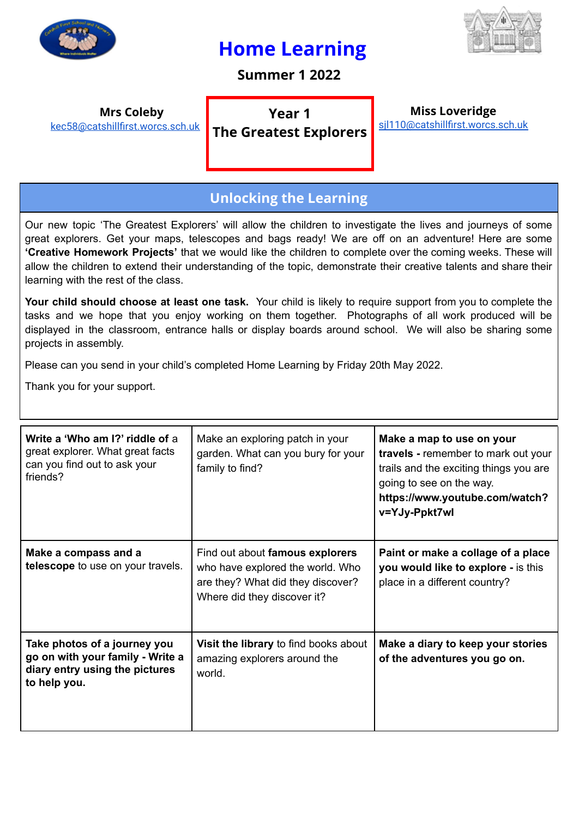

## **Home Learning**



**Summer 1 2022**

**Mrs Coleby** [kec58@catshillfirst.worcs.sch.uk](mailto:kec58@catshillfirst.worcs.sch.uk)

**Year 1**

**The Greatest Explorers**

**Miss Loveridge** [sjl110@catshillfirst.worcs.sch.uk](mailto:sjl110@catshillfirst.worcs.sch.uk)

## **Unlocking the Learning**

Our new topic 'The Greatest Explorers' will allow the children to investigate the lives and journeys of some great explorers. Get your maps, telescopes and bags ready! We are off on an adventure! Here are some **'Creative Homework Projects'** that we would like the children to complete over the coming weeks. These will allow the children to extend their understanding of the topic, demonstrate their creative talents and share their learning with the rest of the class.

**Your child should choose at least one task.** Your child is likely to require support from you to complete the tasks and we hope that you enjoy working on them together. Photographs of all work produced will be displayed in the classroom, entrance halls or display boards around school. We will also be sharing some projects in assembly.

Please can you send in your child's completed Home Learning by Friday 20th May 2022.

Thank you for your support.

| Write a 'Who am I?' riddle of a<br>great explorer. What great facts<br>can you find out to ask your<br>friends?    | Make an exploring patch in your<br>garden. What can you bury for your<br>family to find?                                                | Make a map to use on your<br>travels - remember to mark out your<br>trails and the exciting things you are<br>going to see on the way.<br>https://www.youtube.com/watch?<br>v=YJy-Ppkt7wl |
|--------------------------------------------------------------------------------------------------------------------|-----------------------------------------------------------------------------------------------------------------------------------------|-------------------------------------------------------------------------------------------------------------------------------------------------------------------------------------------|
| Make a compass and a<br>telescope to use on your travels.                                                          | Find out about famous explorers<br>who have explored the world. Who<br>are they? What did they discover?<br>Where did they discover it? | Paint or make a collage of a place<br>you would like to explore - is this<br>place in a different country?                                                                                |
| Take photos of a journey you<br>go on with your family - Write a<br>diary entry using the pictures<br>to help you. | Visit the library to find books about<br>amazing explorers around the<br>world.                                                         | Make a diary to keep your stories<br>of the adventures you go on.                                                                                                                         |